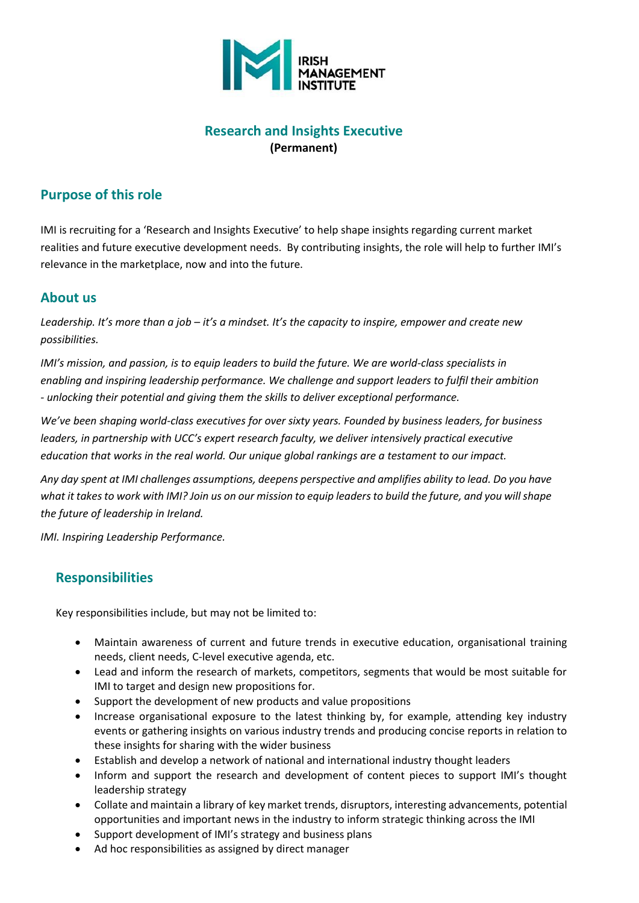

## **Research and Insights Executive (Permanent)**

## **Purpose of this role**

IMI is recruiting for a 'Research and Insights Executive' to help shape insights regarding current market realities and future executive development needs. By contributing insights, the role will help to further IMI's relevance in the marketplace, now and into the future.

### **About us**

*Leadership. It's more than a job – it's a mindset. It's the capacity to inspire, empower and create new possibilities.*

*IMI's mission, and passion, is to equip leaders to build the future. We are world-class specialists in enabling and inspiring leadership performance. We challenge and support leaders to fulfil their ambition - unlocking their potential and giving them the skills to deliver exceptional performance.*

*We've been shaping world-class executives for over sixty years. Founded by business leaders, for business leaders, in partnership with UCC's expert research faculty, we deliver intensively practical executive education that works in the real world. Our unique global rankings are a testament to our impact.*

*Any day spent at IMI challenges assumptions, deepens perspective and amplifies ability to lead. Do you have what it takes to work with IMI? Join us on our mission to equip leaders to build the future, and you will shape the future of leadership in Ireland.*

*IMI. Inspiring Leadership Performance.*

# **Responsibilities**

Key responsibilities include, but may not be limited to:

- Maintain awareness of current and future trends in executive education, organisational training needs, client needs, C-level executive agenda, etc.
- Lead and inform the research of markets, competitors, segments that would be most suitable for IMI to target and design new propositions for.
- Support the development of new products and value propositions
- Increase organisational exposure to the latest thinking by, for example, attending key industry events or gathering insights on various industry trends and producing concise reports in relation to these insights for sharing with the wider business
- Establish and develop a network of national and international industry thought leaders
- Inform and support the research and development of content pieces to support IMI's thought leadership strategy
- Collate and maintain a library of key market trends, disruptors, interesting advancements, potential opportunities and important news in the industry to inform strategic thinking across the IMI
- Support development of IMI's strategy and business plans
- Ad hoc responsibilities as assigned by direct manager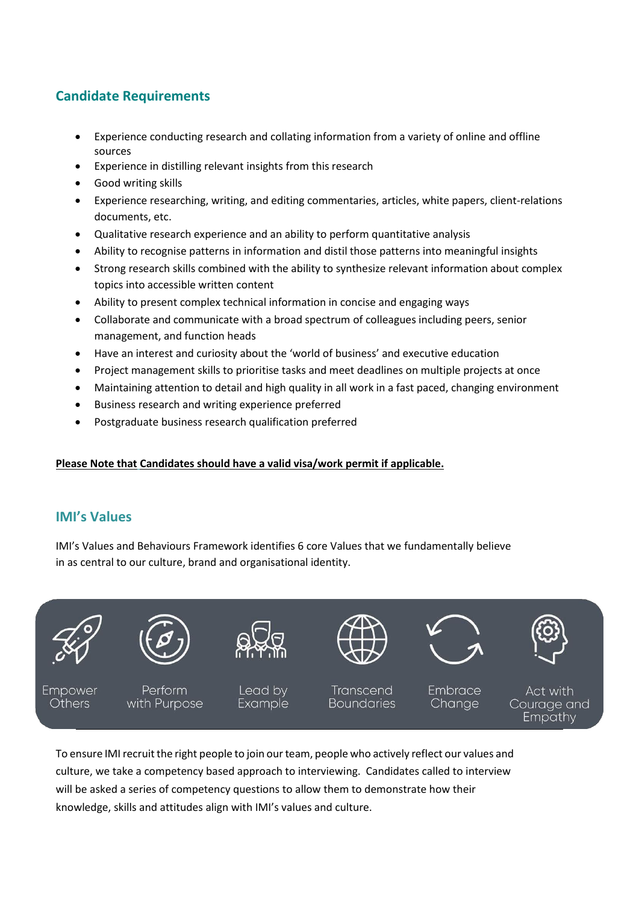# **Candidate Requirements**

- Experience conducting research and collating information from a variety of online and offline sources
- Experience in distilling relevant insights from this research
- Good writing skills
- Experience researching, writing, and editing commentaries, articles, white papers, client-relations documents, etc.
- Qualitative research experience and an ability to perform quantitative analysis
- Ability to recognise patterns in information and distil those patterns into meaningful insights
- Strong research skills combined with the ability to synthesize relevant information about complex topics into accessible written content
- Ability to present complex technical information in concise and engaging ways
- Collaborate and communicate with a broad spectrum of colleagues including peers, senior management, and function heads
- Have an interest and curiosity about the 'world of business' and executive education
- Project management skills to prioritise tasks and meet deadlines on multiple projects at once
- Maintaining attention to detail and high quality in all work in a fast paced, changing environment
- Business research and writing experience preferred
- Postgraduate business research qualification preferred

#### **Please Note that Candidates should have a valid visa/work permit if applicable.**

### **IMI's Values**

IMI's Values and Behaviours Framework identifies 6 core Values that we fundamentally believe in as central to our culture, brand and organisational identity.



Empathy

To ensure IMI recruit the right people to join our team, people who actively reflect our values and culture, we take a competency based approach to interviewing. Candidates called to interview will be asked a series of competency questions to allow them to demonstrate how their knowledge, skills and attitudes align with IMI's values and culture.